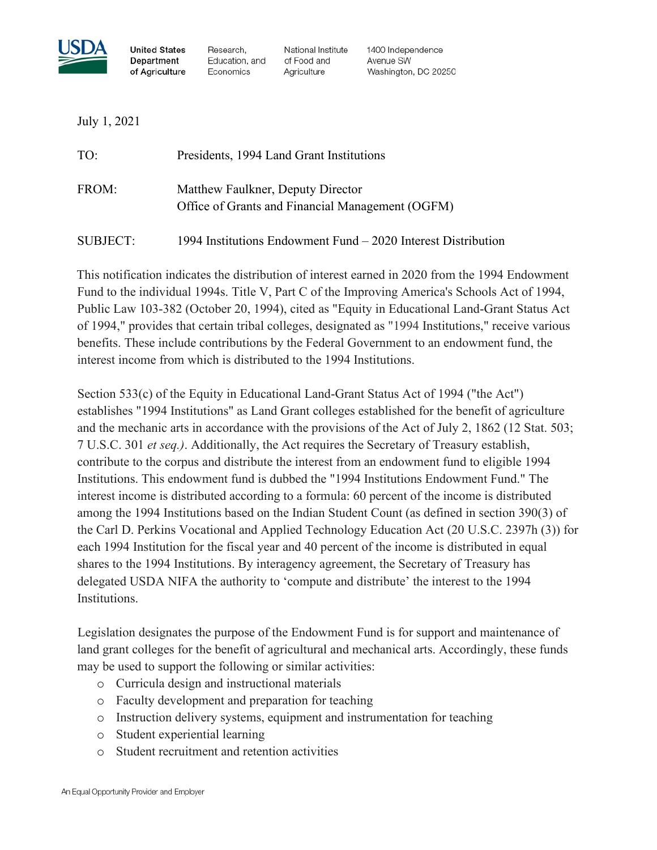

**United States Department** of Agriculture

Research. Education, and Economics

National Institute of Food and Agriculture

1400 Independence Avenue SW Washington, DC 20250

July 1, 2021

| TO:             | Presidents, 1994 Land Grant Institutions                                              |
|-----------------|---------------------------------------------------------------------------------------|
| FROM:           | Matthew Faulkner, Deputy Director<br>Office of Grants and Financial Management (OGFM) |
| <b>SUBJECT:</b> | 1994 Institutions Endowment Fund – 2020 Interest Distribution                         |

This notification indicates the distribution of interest earned in 2020 from the 1994 Endowment Fund to the individual 1994s. Title V, Part C of the Improving America's Schools Act of 1994, Public Law 103-382 (October 20, 1994), cited as "Equity in Educational Land-Grant Status Act of 1994," provides that certain tribal colleges, designated as "1994 Institutions," receive various benefits. These include contributions by the Federal Government to an endowment fund, the interest income from which is distributed to the 1994 Institutions.

Section 533(c) of the Equity in Educational Land-Grant Status Act of 1994 ("the Act") establishes "1994 Institutions" as Land Grant colleges established for the benefit of agriculture and the mechanic arts in accordance with the provisions of the Act of July 2, 1862 (12 Stat. 503; 7 U.S.C. 301 *et seq.)*. Additionally, the Act requires the Secretary of Treasury establish, contribute to the corpus and distribute the interest from an endowment fund to eligible 1994 Institutions. This endowment fund is dubbed the "1994 Institutions Endowment Fund." The interest income is distributed according to a formula: 60 percent of the income is distributed among the 1994 Institutions based on the Indian Student Count (as defined in section 390(3) of the Carl D. Perkins Vocational and Applied Technology Education Act (20 U.S.C. 2397h (3)) for each 1994 Institution for the fiscal year and 40 percent of the income is distributed in equal shares to the 1994 Institutions. By interagency agreement, the Secretary of Treasury has delegated USDA NIFA the authority to 'compute and distribute' the interest to the 1994 Institutions.

Legislation designates the purpose of the Endowment Fund is for support and maintenance of land grant colleges for the benefit of agricultural and mechanical arts. Accordingly, these funds may be used to support the following or similar activities:

- o Curricula design and instructional materials
- o Faculty development and preparation for teaching
- o Instruction delivery systems, equipment and instrumentation for teaching
- o Student experiential learning
- o Student recruitment and retention activities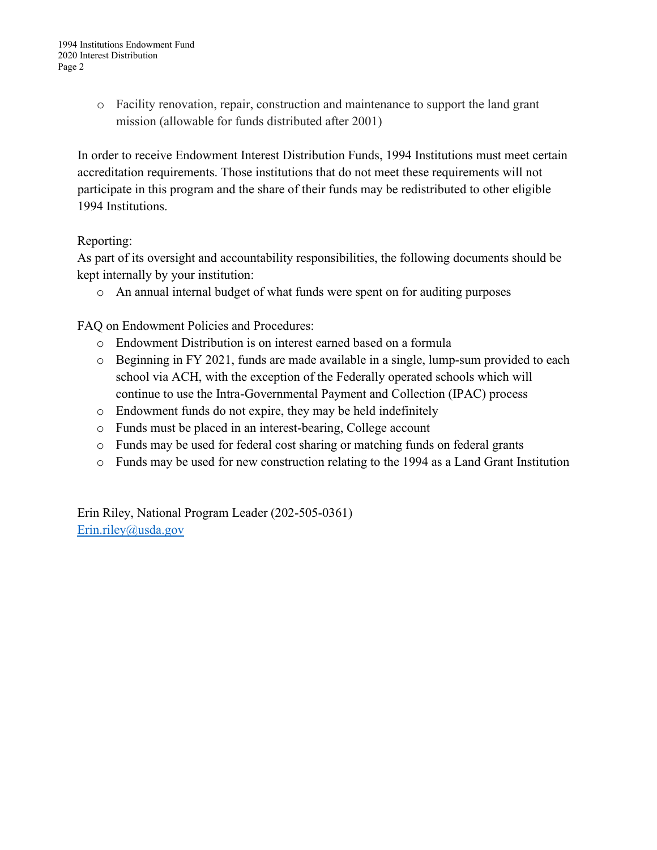o Facility renovation, repair, construction and maintenance to support the land grant mission (allowable for funds distributed after 2001)

In order to receive Endowment Interest Distribution Funds, 1994 Institutions must meet certain accreditation requirements. Those institutions that do not meet these requirements will not participate in this program and the share of their funds may be redistributed to other eligible 1994 Institutions.

## Reporting:

As part of its oversight and accountability responsibilities, the following documents should be kept internally by your institution:

o An annual internal budget of what funds were spent on for auditing purposes

FAQ on Endowment Policies and Procedures:

- o Endowment Distribution is on interest earned based on a formula
- o Beginning in FY 2021, funds are made available in a single, lump-sum provided to each school via ACH, with the exception of the Federally operated schools which will continue to use the Intra-Governmental Payment and Collection (IPAC) process
- o Endowment funds do not expire, they may be held indefinitely
- o Funds must be placed in an interest-bearing, College account
- o Funds may be used for federal cost sharing or matching funds on federal grants
- o Funds may be used for new construction relating to the 1994 as a Land Grant Institution

Erin Riley, National Program Leader (202-505-0361) [Erin.riley@usda.gov](mailto:Erin.riley@usda.gov)